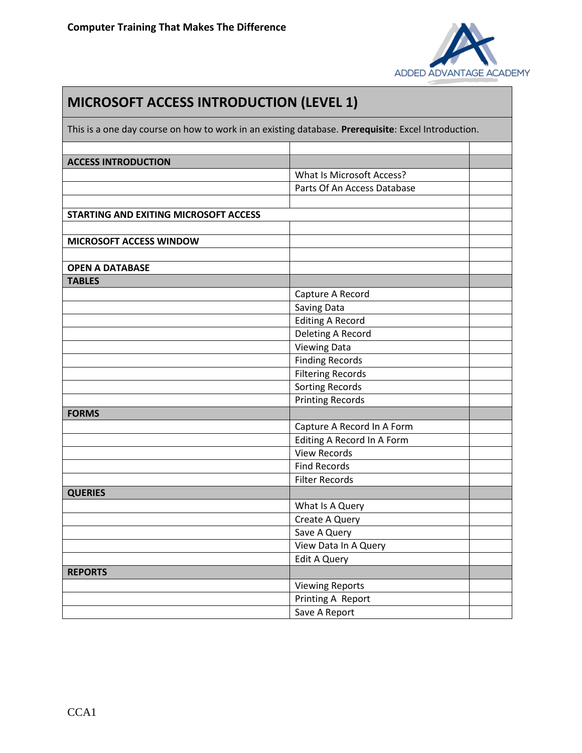

| <b>MICROSOFT ACCESS INTRODUCTION (LEVEL 1)</b><br>This is a one day course on how to work in an existing database. Prerequisite: Excel Introduction. |                                  |  |  |
|------------------------------------------------------------------------------------------------------------------------------------------------------|----------------------------------|--|--|
|                                                                                                                                                      |                                  |  |  |
| <b>ACCESS INTRODUCTION</b>                                                                                                                           |                                  |  |  |
|                                                                                                                                                      | <b>What Is Microsoft Access?</b> |  |  |
|                                                                                                                                                      | Parts Of An Access Database      |  |  |
| <b>STARTING AND EXITING MICROSOFT ACCESS</b>                                                                                                         |                                  |  |  |
| MICROSOFT ACCESS WINDOW                                                                                                                              |                                  |  |  |
|                                                                                                                                                      |                                  |  |  |
| <b>OPEN A DATABASE</b>                                                                                                                               |                                  |  |  |
| <b>TABLES</b>                                                                                                                                        |                                  |  |  |
|                                                                                                                                                      | Capture A Record                 |  |  |
|                                                                                                                                                      | Saving Data                      |  |  |
|                                                                                                                                                      | <b>Editing A Record</b>          |  |  |
|                                                                                                                                                      | Deleting A Record                |  |  |
|                                                                                                                                                      | <b>Viewing Data</b>              |  |  |
|                                                                                                                                                      | <b>Finding Records</b>           |  |  |
|                                                                                                                                                      | <b>Filtering Records</b>         |  |  |
|                                                                                                                                                      | <b>Sorting Records</b>           |  |  |
|                                                                                                                                                      | <b>Printing Records</b>          |  |  |
| <b>FORMS</b>                                                                                                                                         |                                  |  |  |
|                                                                                                                                                      | Capture A Record In A Form       |  |  |
|                                                                                                                                                      | Editing A Record In A Form       |  |  |
|                                                                                                                                                      | <b>View Records</b>              |  |  |
|                                                                                                                                                      | <b>Find Records</b>              |  |  |
|                                                                                                                                                      | <b>Filter Records</b>            |  |  |
| <b>QUERIES</b>                                                                                                                                       |                                  |  |  |
|                                                                                                                                                      | What Is A Query                  |  |  |
|                                                                                                                                                      | Create A Query                   |  |  |
|                                                                                                                                                      | Save A Query                     |  |  |
|                                                                                                                                                      | View Data In A Query             |  |  |
|                                                                                                                                                      | <b>Edit A Query</b>              |  |  |
| <b>REPORTS</b>                                                                                                                                       |                                  |  |  |
|                                                                                                                                                      | <b>Viewing Reports</b>           |  |  |
|                                                                                                                                                      | Printing A Report                |  |  |
|                                                                                                                                                      | Save A Report                    |  |  |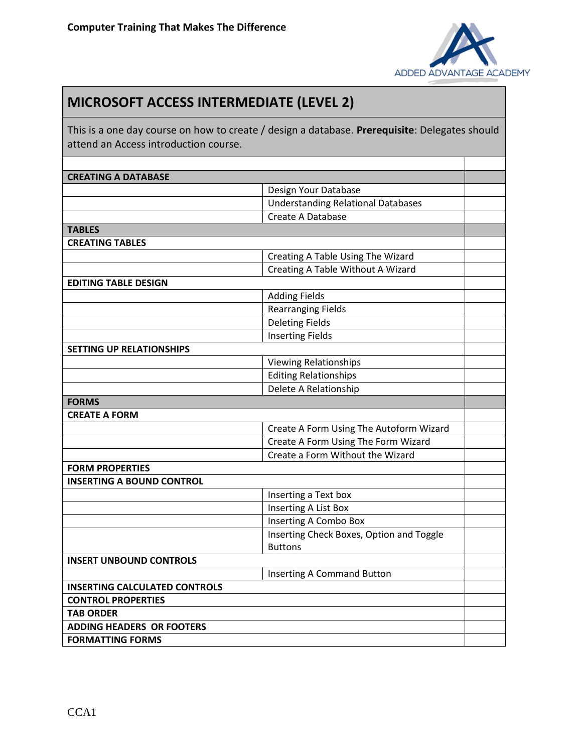

## **MICROSOFT ACCESS INTERMEDIATE (LEVEL 2)**

This is a one day course on how to create / design a database. **Prerequisite**: Delegates should attend an Access introduction course.

| <b>CREATING A DATABASE</b>           |                                           |  |
|--------------------------------------|-------------------------------------------|--|
|                                      | Design Your Database                      |  |
|                                      | <b>Understanding Relational Databases</b> |  |
|                                      | Create A Database                         |  |
| <b>TABLES</b>                        |                                           |  |
| <b>CREATING TABLES</b>               |                                           |  |
|                                      | Creating A Table Using The Wizard         |  |
|                                      | Creating A Table Without A Wizard         |  |
| <b>EDITING TABLE DESIGN</b>          |                                           |  |
|                                      | <b>Adding Fields</b>                      |  |
|                                      | <b>Rearranging Fields</b>                 |  |
|                                      | <b>Deleting Fields</b>                    |  |
|                                      | <b>Inserting Fields</b>                   |  |
| <b>SETTING UP RELATIONSHIPS</b>      |                                           |  |
|                                      | <b>Viewing Relationships</b>              |  |
|                                      | <b>Editing Relationships</b>              |  |
|                                      | Delete A Relationship                     |  |
| <b>FORMS</b>                         |                                           |  |
| <b>CREATE A FORM</b>                 |                                           |  |
|                                      | Create A Form Using The Autoform Wizard   |  |
|                                      | Create A Form Using The Form Wizard       |  |
|                                      | Create a Form Without the Wizard          |  |
| <b>FORM PROPERTIES</b>               |                                           |  |
| <b>INSERTING A BOUND CONTROL</b>     |                                           |  |
|                                      | Inserting a Text box                      |  |
|                                      | Inserting A List Box                      |  |
|                                      | Inserting A Combo Box                     |  |
|                                      | Inserting Check Boxes, Option and Toggle  |  |
|                                      | <b>Buttons</b>                            |  |
| <b>INSERT UNBOUND CONTROLS</b>       |                                           |  |
|                                      | <b>Inserting A Command Button</b>         |  |
| <b>INSERTING CALCULATED CONTROLS</b> |                                           |  |
| <b>CONTROL PROPERTIES</b>            |                                           |  |
| <b>TAB ORDER</b>                     |                                           |  |
| <b>ADDING HEADERS OR FOOTERS</b>     |                                           |  |
| <b>FORMATTING FORMS</b>              |                                           |  |